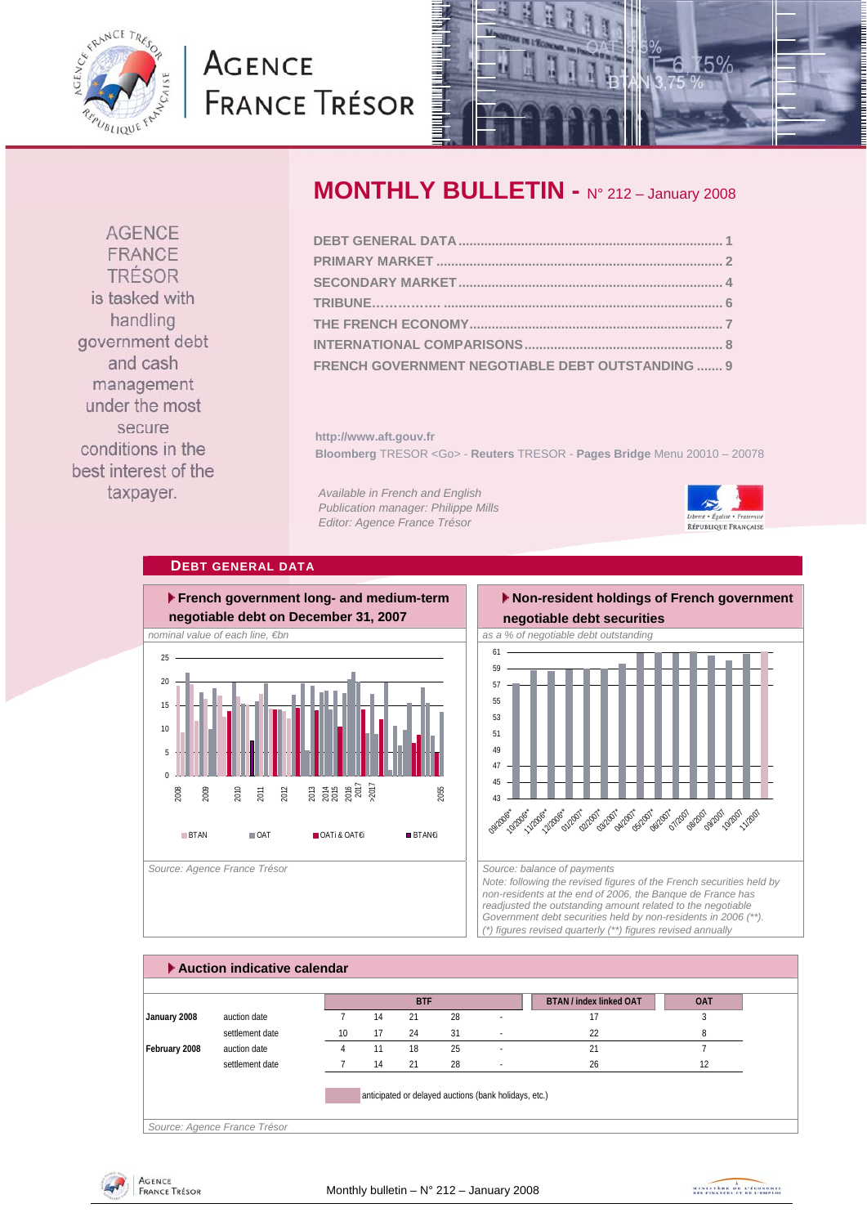<span id="page-0-0"></span>

# **AGENCE FRANCE TRÉSOR**



**AGENCE** FRANCE TRÉSOR is tasked with handling government debt and cash management under the most secure conditions in the best interest of the taxpayer.

### **MONTHLY BULLETIN -** N° 212 – January 2008

| FRENCH GOVERNMENT NEGOTIABLE DEBT OUTSTANDING  9 |  |
|--------------------------------------------------|--|

**http://www.aft.gouv.fr Bloomberg** TRESOR <Go> - **Reuters** TRESOR - **Pages Bridge** Menu 20010 – 20078

*Available in French and English Publication manager: Philippe Mills Editor: Agence France Trésor* 



#### **DEBT GENERAL DATA**



#### **Non-resident holdings of French government negotiable debt securities**



*Note: following the revised figures of the French securities held by non-residents at the end of 2006, the Banque de France has readjusted the outstanding amount related to the negotiable Government debt securities held by non-residents in 2006 (\*\*). (\*) figures revised quarterly (\*\*) figures revised annually* 

|               |                 |    |    | <b>BTF</b> |    |                          | <b>BTAN / index linked OAT</b> | <b>OAT</b> |
|---------------|-----------------|----|----|------------|----|--------------------------|--------------------------------|------------|
| January 2008  | auction date    |    | 14 | 21         | 28 |                          | 17                             |            |
|               | settlement date | 10 | 17 | 24         | 31 | $\sim$                   | 22                             | 8          |
| February 2008 | auction date    |    | 11 | 18         | 25 | ٠                        | 21                             |            |
|               | settlement date |    | 14 | 21         | 28 | $\overline{\phantom{a}}$ | 26                             | 12         |



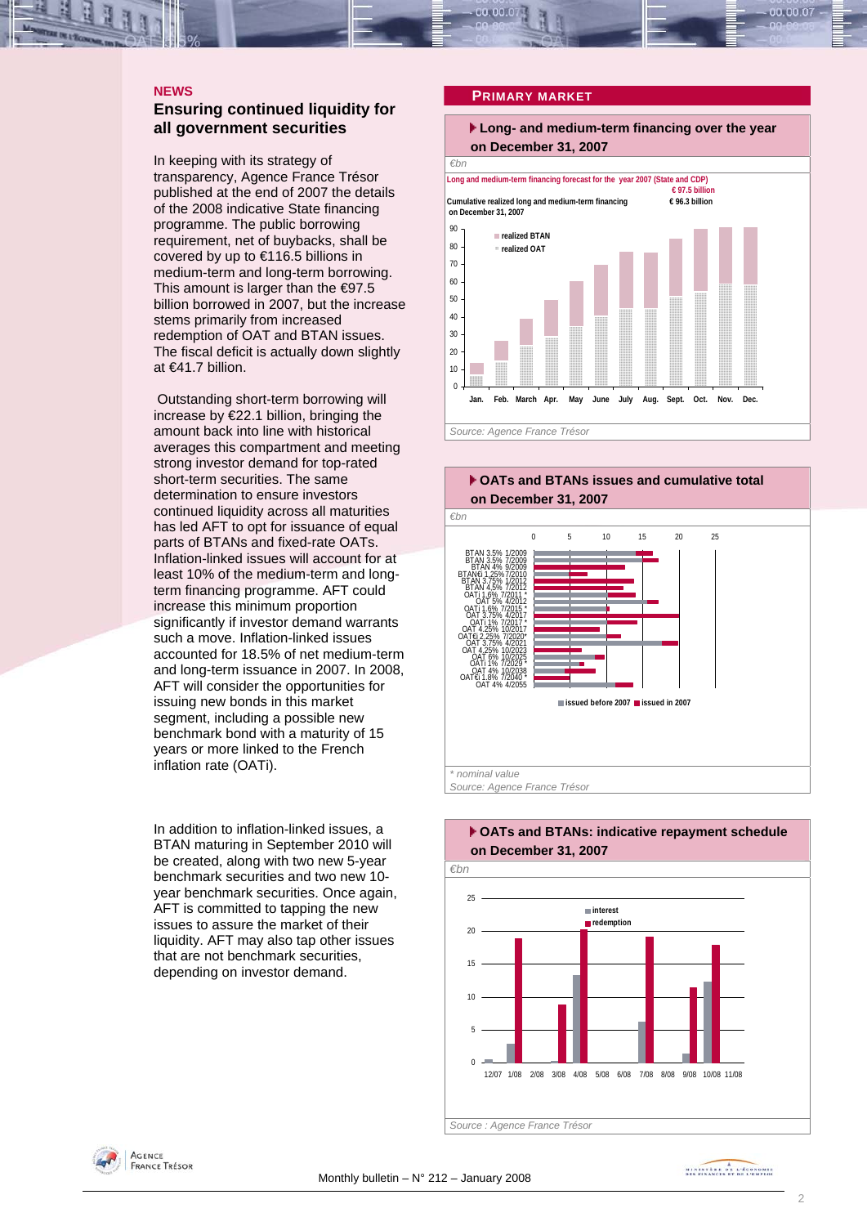#### <span id="page-1-0"></span>**NEWS**

### **Ensuring continued liquidity for all government securities**

In keeping with its strategy of transparency, Agence France Trésor published at the end of 2007 the details of the 2008 indicative State financing programme. The public borrowing requirement, net of buybacks, shall be covered by up to €116.5 billions in medium-term and long-term borrowing. This amount is larger than the  $\epsilon$ 97.5 billion borrowed in 2007, but the increase stems primarily from increased redemption of OAT and BTAN issues. The fiscal deficit is actually down slightly at €41.7 billion.

 Outstanding short-term borrowing will increase by €22.1 billion, bringing the amount back into line with historical averages this compartment and meeting strong investor demand for top-rated short-term securities. The same determination to ensure investors continued liquidity across all maturities has led AFT to opt for issuance of equal parts of BTANs and fixed-rate OATs. Inflation-linked issues will account for at least 10% of the medium-term and longterm financing programme. AFT could increase this minimum proportion significantly if investor demand warrants such a move. Inflation-linked issues accounted for 18.5% of net medium-term and long-term issuance in 2007. In 2008, AFT will consider the opportunities for issuing new bonds in this market segment, including a possible new benchmark bond with a maturity of 15 years or more linked to the French inflation rate (OATi).

In addition to inflation-linked issues, a BTAN maturing in September 2010 will be created, along with two new 5-year benchmark securities and two new 10 year benchmark securities. Once again, AFT is committed to tapping the new issues to assure the market of their liquidity. AFT may also tap other issues that are not benchmark securities, depending on investor demand.

#### **PRIMARY MARKET**

#### **Long- and medium-term financing over the year on December 31, 2007**







## **OATs and BTANs: indicative repayment schedule on December 31, 2007**

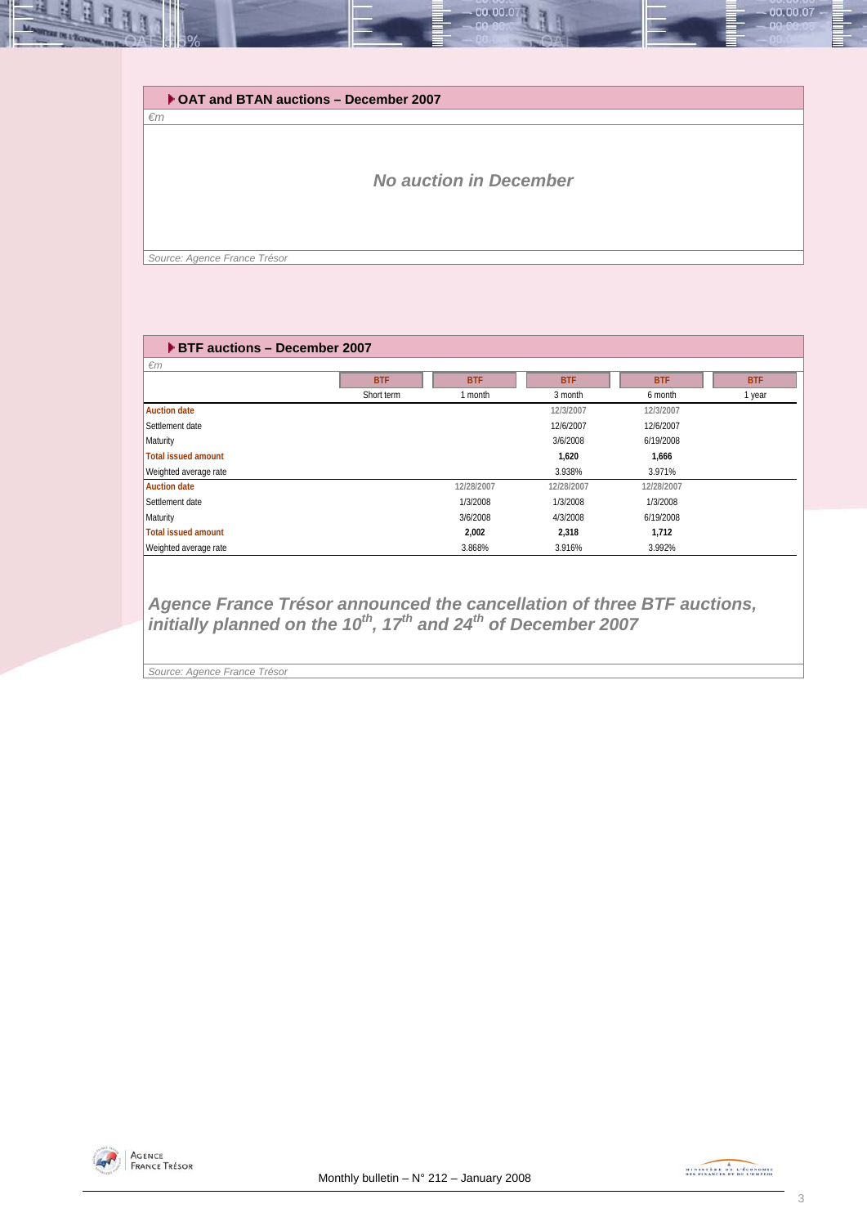| $\epsilon$ m | ▶ OAT and BTAN auctions - December 2007 |
|--------------|-----------------------------------------|
|              | <b>No auction in December</b>           |
|              |                                         |

| ▶ BTF auctions - December 2007 |            |            |            |            |            |  |  |  |  |  |  |
|--------------------------------|------------|------------|------------|------------|------------|--|--|--|--|--|--|
| $\epsilon$ m                   |            |            |            |            |            |  |  |  |  |  |  |
|                                | <b>BTF</b> | <b>BTF</b> | <b>BTF</b> | <b>BTF</b> | <b>BTF</b> |  |  |  |  |  |  |
|                                | Short term | 1 month    | 3 month    | 6 month    | 1 year     |  |  |  |  |  |  |
| <b>Auction date</b>            |            |            | 12/3/2007  | 12/3/2007  |            |  |  |  |  |  |  |
| Settlement date                |            |            | 12/6/2007  | 12/6/2007  |            |  |  |  |  |  |  |
| Maturity                       |            |            | 3/6/2008   | 6/19/2008  |            |  |  |  |  |  |  |
| <b>Total issued amount</b>     |            |            | 1,620      | 1,666      |            |  |  |  |  |  |  |
| Weighted average rate          |            |            | 3.938%     | 3.971%     |            |  |  |  |  |  |  |
| <b>Auction date</b>            |            | 12/28/2007 | 12/28/2007 | 12/28/2007 |            |  |  |  |  |  |  |
| Settlement date                |            | 1/3/2008   | 1/3/2008   | 1/3/2008   |            |  |  |  |  |  |  |
| Maturity                       |            | 3/6/2008   | 4/3/2008   | 6/19/2008  |            |  |  |  |  |  |  |
| <b>Total issued amount</b>     |            | 2,002      | 2,318      | 1,712      |            |  |  |  |  |  |  |
| Weighted average rate          |            | 3.868%     | 3.916%     | 3.992%     |            |  |  |  |  |  |  |

*Agence France Trésor announced the cancellation of three BTF auctions, initially planned on the 10<sup>th</sup>, 17<sup>th</sup> and 24<sup>th</sup> of December 2007* 

*Source: Agence France Trésor* 



00.00.07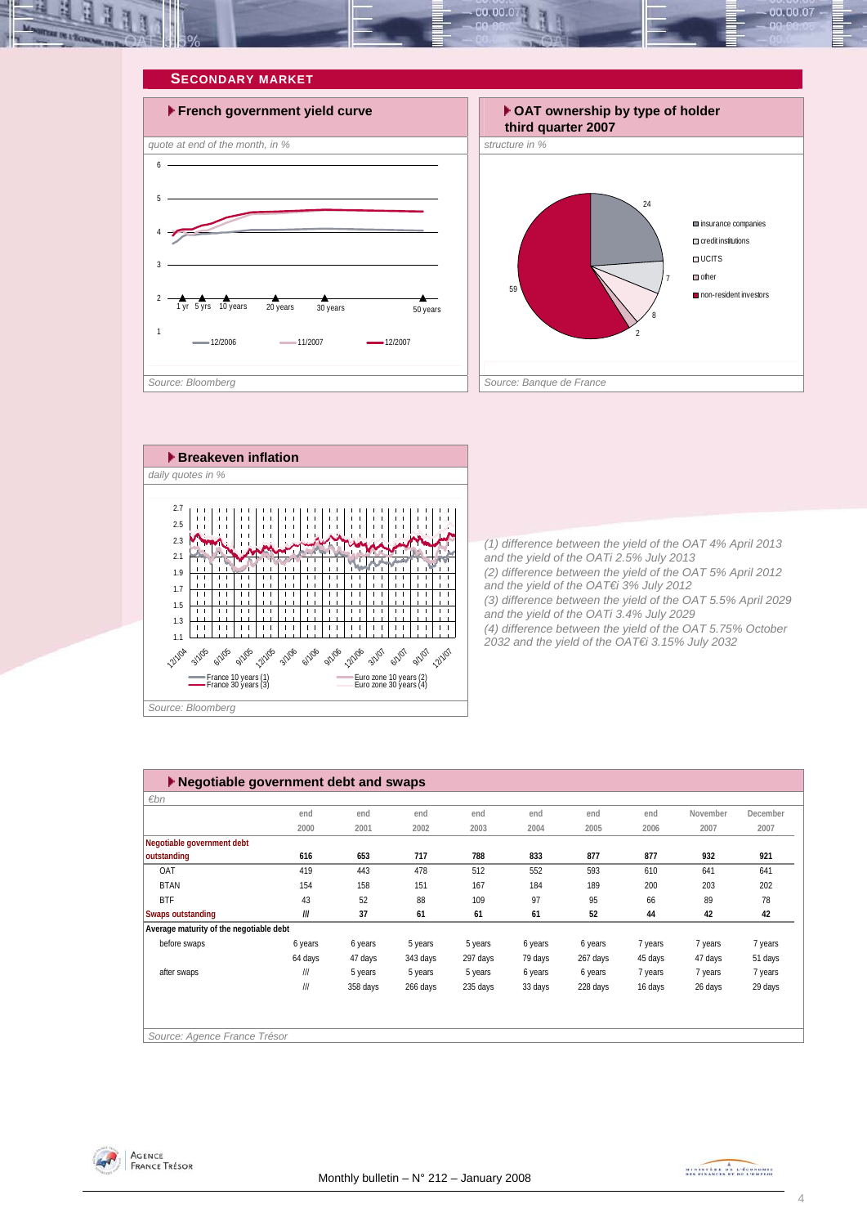<span id="page-3-0"></span>

![](_page_3_Figure_1.jpeg)

![](_page_3_Figure_2.jpeg)

![](_page_3_Figure_3.jpeg)

*(1) difference between the yield of the OAT 4% April 2013 and the yield of the OATi 2.5% July 2013 (2) difference between the yield of the OAT 5% April 2012 and the yield of the OAT€i 3% July 2012 (3) difference between the yield of the OAT 5.5% April 2029 and the yield of the OATi 3.4% July 2029 (4) difference between the yield of the OAT 5.75% October 2032 and the yield of the OAT€i 3.15% July 2032* 

| ▶ Negotiable government debt and swaps  |                            |          |          |          |         |          |         |          |          |
|-----------------------------------------|----------------------------|----------|----------|----------|---------|----------|---------|----------|----------|
| $\varepsilon$ bn                        |                            |          |          |          |         |          |         |          |          |
|                                         | end                        | end      | end      | end      | end     | end      | end     | November | December |
|                                         | 2000                       | 2001     | 2002     | 2003     | 2004    | 2005     | 2006    | 2007     | 2007     |
| Negotiable government debt              |                            |          |          |          |         |          |         |          |          |
| outstanding                             | 616                        | 653      | 717      | 788      | 833     | 877      | 877     | 932      | 921      |
| OAT                                     | 419                        | 443      | 478      | 512      | 552     | 593      | 610     | 641      | 641      |
| <b>BTAN</b>                             | 154                        | 158      | 151      | 167      | 184     | 189      | 200     | 203      | 202      |
| <b>BTF</b>                              | 43                         | 52       | 88       | 109      | 97      | 95       | 66      | 89       | 78       |
| <b>Swaps outstanding</b>                | III                        | 37       | 61       | 61       | 61      | 52       | 44      | 42       | 42       |
| Average maturity of the negotiable debt |                            |          |          |          |         |          |         |          |          |
| before swaps                            | 6 years                    | 6 years  | 5 years  | 5 years  | 6 years | 6 years  | 7 years | 7 years  | 7 years  |
|                                         | 64 days                    | 47 days  | 343 days | 297 days | 79 days | 267 days | 45 days | 47 days  | 51 days  |
| after swaps                             | $\ensuremath{/\! \! H}$    | 5 years  | 5 years  | 5 years  | 6 years | 6 years  | 7 years | 7 years  | 7 years  |
|                                         | $\ensuremath{/\!\! \,\! }$ | 358 days | 266 days | 235 days | 33 days | 228 days | 16 days | 26 days  | 29 days  |
|                                         |                            |          |          |          |         |          |         |          |          |
|                                         |                            |          |          |          |         |          |         |          |          |
| Source: Agence France Trésor            |                            |          |          |          |         |          |         |          |          |

![](_page_3_Picture_6.jpeg)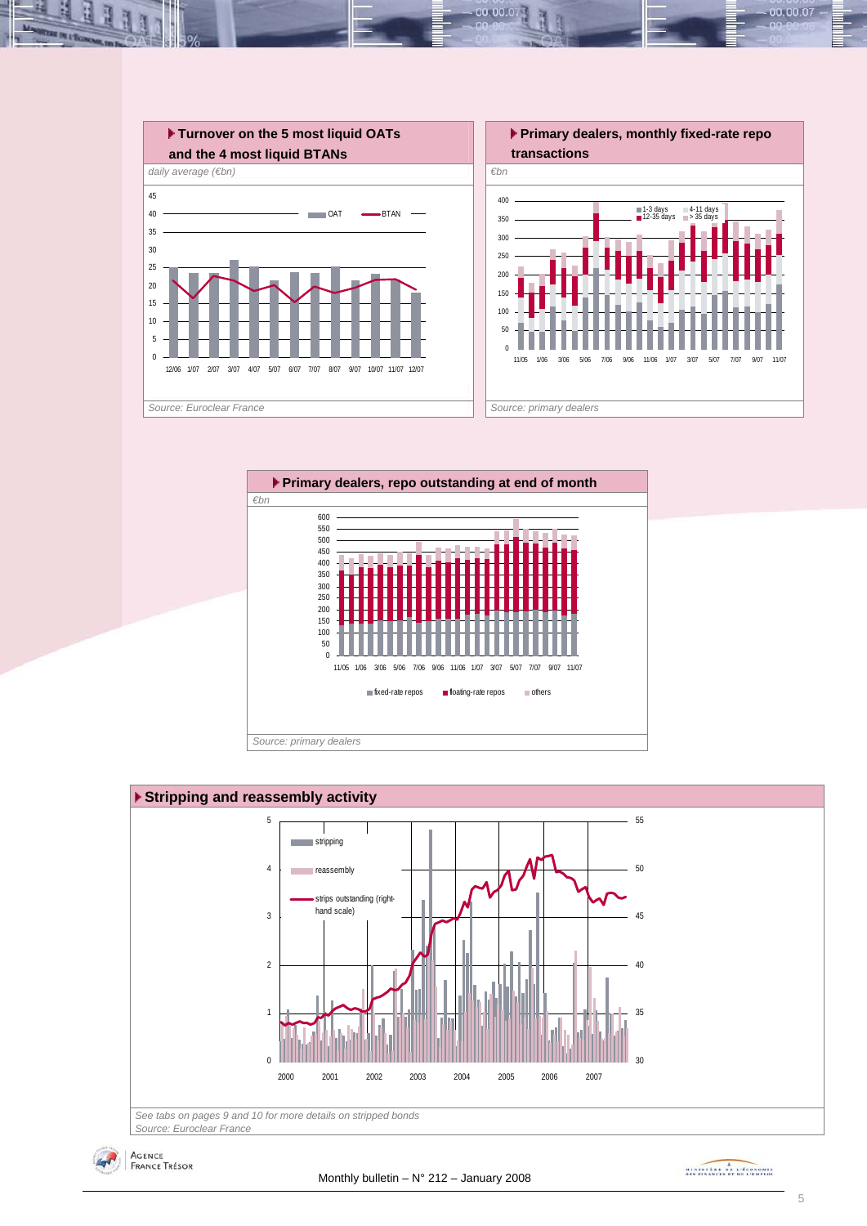![](_page_4_Figure_0.jpeg)

00.001

![](_page_4_Figure_1.jpeg)

![](_page_4_Figure_2.jpeg)

*Source: Euroclear France*

![](_page_4_Picture_4.jpeg)

MINISTRA DE L'ÉCONOMIE

00.00.07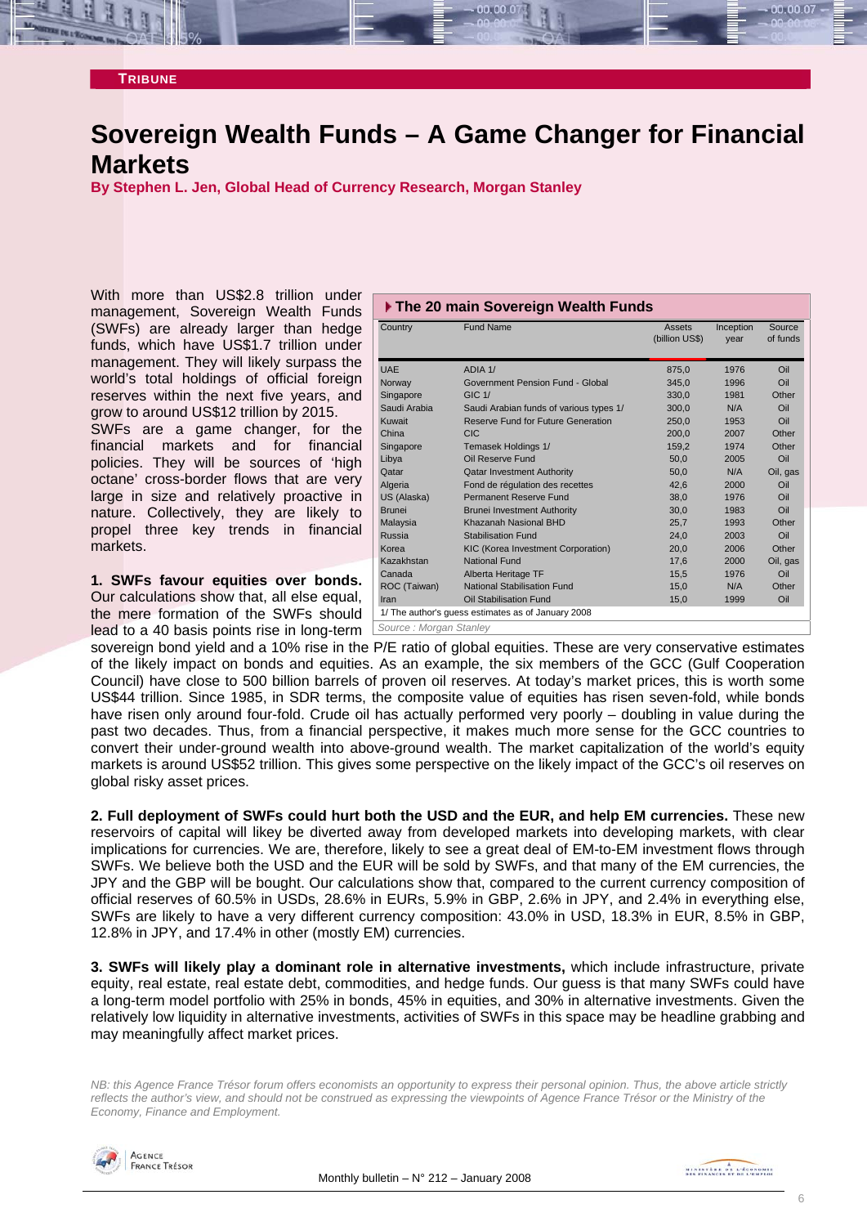#### <span id="page-5-0"></span>**TRIBUNE**

### **Sovereign Wealth Funds – A Game Changer for Financial Markets**

**By Stephen L. Jen, Global Head of Currency Research, Morgan Stanley** 

With more than US\$2.8 trillion under management, Sovereign Wealth Funds (SWFs) are already larger than hedge funds, which have US\$1.7 trillion under management. They will likely surpass the world's total holdings of official foreign reserves within the next five years, and grow to around US\$12 trillion by 2015.

SWFs are a game changer, for the financial markets and for financial policies. They will be sources of 'high octane' cross-border flows that are very large in size and relatively proactive in nature. Collectively, they are likely to propel three key trends in financial markets.

**1. SWFs favour equities over bonds.** Our calculations show that, all else equal, the mere formation of the SWFs should lead to a 40 basis points rise in long-term *Source : Morgan Stanley* 

| ▶ The 20 main Sovereign Wealth Funds |                                                    |                |           |          |  |  |  |  |  |  |
|--------------------------------------|----------------------------------------------------|----------------|-----------|----------|--|--|--|--|--|--|
| Country                              | <b>Fund Name</b>                                   | Assets         | Inception | Source   |  |  |  |  |  |  |
|                                      |                                                    | (billion US\$) | year      | of funds |  |  |  |  |  |  |
| <b>UAE</b>                           | ADIA 1/                                            | 875.0          | 1976      | Oil      |  |  |  |  |  |  |
| Norway                               | Government Pension Fund - Global                   | 345.0          | 1996      | Oil      |  |  |  |  |  |  |
| Singapore                            | $GIC$ 1/                                           | 330,0          | 1981      | Other    |  |  |  |  |  |  |
| Saudi Arabia                         | Saudi Arabian funds of various types 1/            | 300.0          | N/A       | Oil      |  |  |  |  |  |  |
| Kuwait                               | Reserve Fund for Future Generation                 | 250,0          | 1953      | Oil      |  |  |  |  |  |  |
| China                                | <b>CIC</b>                                         | 200.0          | 2007      | Other    |  |  |  |  |  |  |
| Singapore                            | Temasek Holdings 1/                                | 159.2          | 1974      | Other    |  |  |  |  |  |  |
| Libya                                | Oil Reserve Fund                                   | 50,0           | 2005      | Oil      |  |  |  |  |  |  |
| Qatar                                | <b>Qatar Investment Authority</b>                  | 50.0           | N/A       | Oil, gas |  |  |  |  |  |  |
| Algeria                              | Fond de régulation des recettes                    | 42.6           | 2000      | Oil      |  |  |  |  |  |  |
| US (Alaska)                          | Permanent Reserve Fund                             | 38,0           | 1976      | Oil      |  |  |  |  |  |  |
| <b>Brunei</b>                        | <b>Brunei Investment Authority</b>                 | 30.0           | 1983      | Oil      |  |  |  |  |  |  |
| Malaysia                             | Khazanah Nasional BHD                              | 25.7           | 1993      | Other    |  |  |  |  |  |  |
| Russia                               | <b>Stabilisation Fund</b>                          | 24.0           | 2003      | Oil      |  |  |  |  |  |  |
| Korea                                | KIC (Korea Investment Corporation)                 | 20.0           | 2006      | Other    |  |  |  |  |  |  |
| Kazakhstan                           | <b>National Fund</b>                               | 17,6           | 2000      | Oil, gas |  |  |  |  |  |  |
| Canada                               | Alberta Heritage TF                                | 15,5           | 1976      | Oil      |  |  |  |  |  |  |
| ROC (Taiwan)                         | National Stabilisation Fund                        | 15.0           | N/A       | Other    |  |  |  |  |  |  |
| Iran                                 | Oil Stabilisation Fund                             | 15,0           | 1999      | Oil      |  |  |  |  |  |  |
|                                      | 1/ The author's guess estimates as of January 2008 |                |           |          |  |  |  |  |  |  |
| Source : Morgan Stanley              |                                                    |                |           |          |  |  |  |  |  |  |

sovereign bond yield and a 10% rise in the P/E ratio of global equities. These are very conservative estimates of the likely impact on bonds and equities. As an example, the six members of the GCC (Gulf Cooperation Council) have close to 500 billion barrels of proven oil reserves. At today's market prices, this is worth some US\$44 trillion. Since 1985, in SDR terms, the composite value of equities has risen seven-fold, while bonds have risen only around four-fold. Crude oil has actually performed very poorly – doubling in value during the past two decades. Thus, from a financial perspective, it makes much more sense for the GCC countries to convert their under-ground wealth into above-ground wealth. The market capitalization of the world's equity markets is around US\$52 trillion. This gives some perspective on the likely impact of the GCC's oil reserves on global risky asset prices.

**2. Full deployment of SWFs could hurt both the USD and the EUR, and help EM currencies.** These new reservoirs of capital will likey be diverted away from developed markets into developing markets, with clear implications for currencies. We are, therefore, likely to see a great deal of EM-to-EM investment flows through SWFs. We believe both the USD and the EUR will be sold by SWFs, and that many of the EM currencies, the JPY and the GBP will be bought. Our calculations show that, compared to the current currency composition of official reserves of 60.5% in USDs, 28.6% in EURs, 5.9% in GBP, 2.6% in JPY, and 2.4% in everything else, SWFs are likely to have a very different currency composition: 43.0% in USD, 18.3% in EUR, 8.5% in GBP, 12.8% in JPY, and 17.4% in other (mostly EM) currencies.

**3. SWFs will likely play a dominant role in alternative investments,** which include infrastructure, private equity, real estate, real estate debt, commodities, and hedge funds. Our guess is that many SWFs could have a long-term model portfolio with 25% in bonds, 45% in equities, and 30% in alternative investments. Given the relatively low liquidity in alternative investments, activities of SWFs in this space may be headline grabbing and may meaningfully affect market prices.

*NB: this Agence France Trésor forum offers economists an opportunity to express their personal opinion. Thus, the above article strictly reflects the author's view, and should not be construed as expressing the viewpoints of Agence France Trésor or the Ministry of the Economy, Finance and Employment.* 

![](_page_5_Picture_11.jpeg)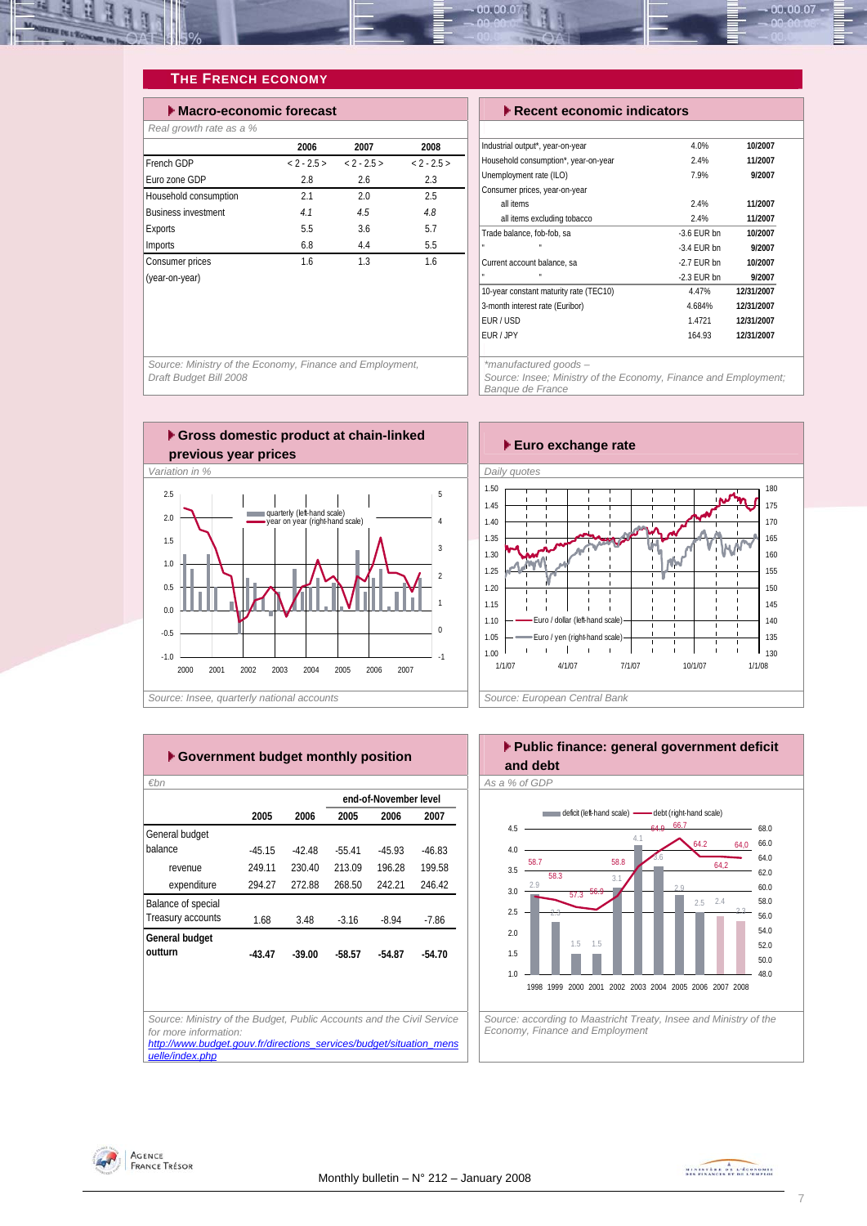<span id="page-6-0"></span>![](_page_6_Picture_0.jpeg)

#### **THE FRENCH ECONOMY**

| Macro-economic forecast    |               |               | $\blacktriangleright$ Recent economic indicators |                                          |  |        |
|----------------------------|---------------|---------------|--------------------------------------------------|------------------------------------------|--|--------|
| Real growth rate as a %    |               |               |                                                  |                                          |  |        |
|                            | 2006          | 2007          | 2008                                             | Industrial output*, year-on-year         |  |        |
| French GDP                 | $< 2 - 2.5 >$ | $< 2 - 2.5 >$ | $< 2 - 2.5 >$                                    | Household consumption*, year-on-year     |  |        |
| Euro zone GDP              | 2.8           | 2.6           | 2.3                                              | Unemployment rate (ILO)                  |  |        |
| Household consumption      | 2.1           | 2.0           | 2.5                                              | Consumer prices, year-on-year            |  |        |
| <b>Business investment</b> | 4.1           | 4.5           | 4.8                                              | all items<br>all items excluding tobacco |  |        |
| Exports                    | 5.5           | 3.6           | 5.7                                              | Trade balance, fob-fob, sa               |  | $-3.6$ |
| Imports                    | 6.8           | 4.4           | 5.5                                              |                                          |  | $-3.4$ |
| Consumer prices            | 1.6           | 1.3           | 1.6                                              | Current account balance, sa              |  | $-2.7$ |
| (year-on-year)             |               |               |                                                  |                                          |  | $-2.3$ |
|                            |               |               |                                                  | 10-year constant maturity rate (TFC10)   |  |        |

| $\blacktriangleright$ Recent economic indicators |            |  |  |  |  |  |  |
|--------------------------------------------------|------------|--|--|--|--|--|--|
|                                                  |            |  |  |  |  |  |  |
| 4.0%                                             | 10/2007    |  |  |  |  |  |  |
| 2.4%                                             | 11/2007    |  |  |  |  |  |  |
| 7.9%                                             | 9/2007     |  |  |  |  |  |  |
|                                                  |            |  |  |  |  |  |  |
| 2.4%                                             | 11/2007    |  |  |  |  |  |  |
| 2.4%                                             | 11/2007    |  |  |  |  |  |  |
| $-3.6$ FUR bn                                    | 10/2007    |  |  |  |  |  |  |
| $-3.4$ FUR bn                                    | 9/2007     |  |  |  |  |  |  |
| $-2.7$ FUR bn                                    | 10/2007    |  |  |  |  |  |  |
| $-2.3$ FUR bn                                    | 9/2007     |  |  |  |  |  |  |
| 4.47%                                            | 12/31/2007 |  |  |  |  |  |  |
| 4.684%                                           | 12/31/2007 |  |  |  |  |  |  |
| 1.4721                                           | 12/31/2007 |  |  |  |  |  |  |
| 164.93                                           | 12/31/2007 |  |  |  |  |  |  |
|                                                  |            |  |  |  |  |  |  |

*\*manufactured goods –* 

*Source: Insee; Ministry of the Economy, Finance and Employment; Banque de France* 

*Source: Ministry of the Economy, Finance and Employment, Draft Budget Bill 2008* 

![](_page_6_Figure_7.jpeg)

![](_page_6_Figure_8.jpeg)

|                    |          |          |          | end-of-November level |          |
|--------------------|----------|----------|----------|-----------------------|----------|
|                    | 2005     | 2006     | 2005     | 2006                  | 2007     |
| General budget     |          |          |          |                       |          |
| balance            | $-45.15$ | -42.48   | $-55.41$ | $-45.93$              | $-46.83$ |
| revenue            | 249.11   | 230.40   | 213.09   | 196.28                | 199.58   |
| expenditure        | 294.27   | 272.88   | 268.50   | 242.21                | 246.42   |
| Balance of special |          |          |          |                       |          |
| Treasury accounts  | 1.68     | 3.48     | $-3.16$  | $-8.94$               | $-7.86$  |
| General budget     |          |          |          |                       |          |
| outturn            | $-43.47$ | $-39.00$ | $-58.57$ | $-54.87$              | $-54.70$ |
|                    |          |          |          |                       |          |
|                    |          |          |          |                       |          |
|                    |          |          |          |                       |          |

![](_page_6_Figure_10.jpeg)

![](_page_6_Picture_11.jpeg)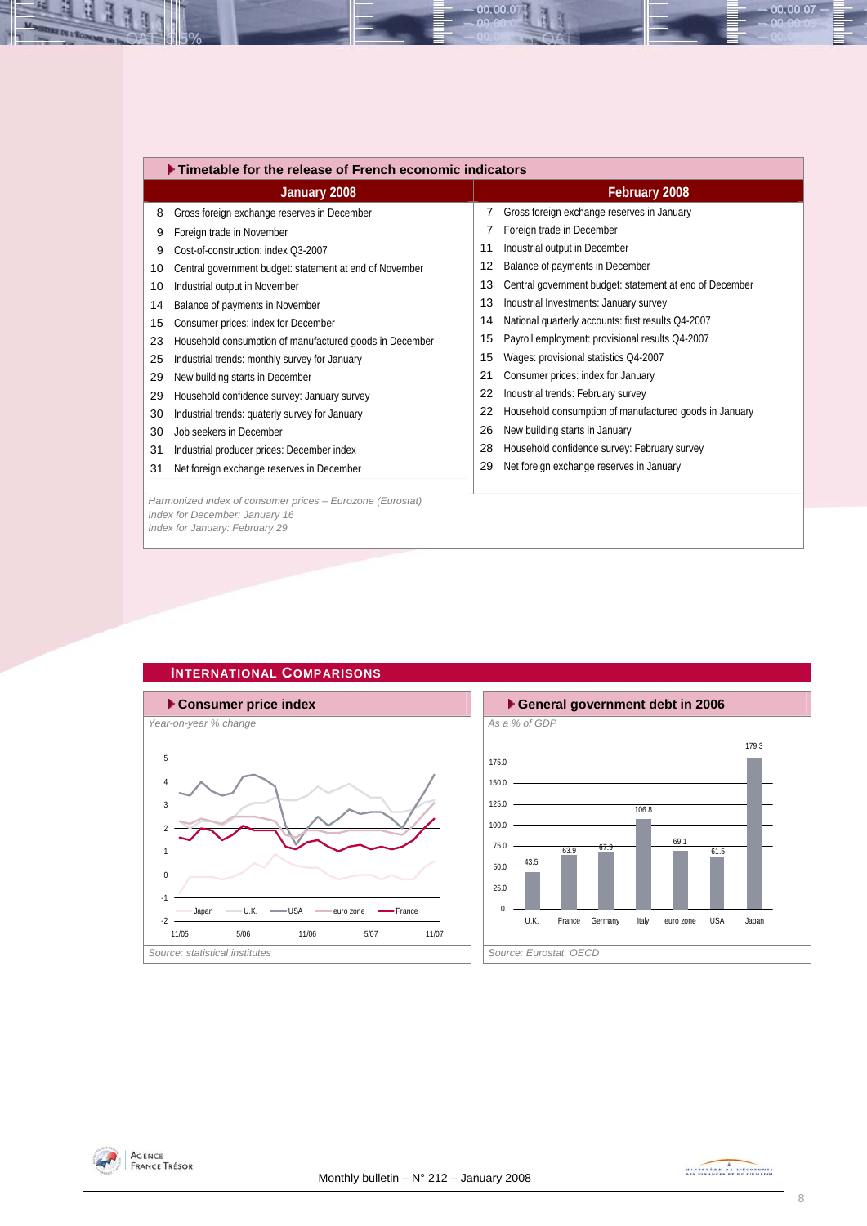<span id="page-7-0"></span>

|    | $\blacktriangleright$ Timetable for the release of French economic indicators |    |                                                         |  |  |  |  |  |  |  |
|----|-------------------------------------------------------------------------------|----|---------------------------------------------------------|--|--|--|--|--|--|--|
|    | January 2008                                                                  |    | February 2008                                           |  |  |  |  |  |  |  |
| 8  | Gross foreign exchange reserves in December                                   | 7  | Gross foreign exchange reserves in January              |  |  |  |  |  |  |  |
| 9  | Foreign trade in November                                                     |    | Foreign trade in December                               |  |  |  |  |  |  |  |
| 9  | Cost-of-construction: index Q3-2007                                           | 11 | Industrial output in December                           |  |  |  |  |  |  |  |
| 10 | Central government budget: statement at end of November                       | 12 | Balance of payments in December                         |  |  |  |  |  |  |  |
| 10 | Industrial output in November                                                 | 13 | Central government budget: statement at end of December |  |  |  |  |  |  |  |
| 14 | Balance of payments in November                                               | 13 | Industrial Investments: January survey                  |  |  |  |  |  |  |  |
| 15 | Consumer prices: index for December                                           | 14 | National quarterly accounts: first results Q4-2007      |  |  |  |  |  |  |  |
| 23 | Household consumption of manufactured goods in December                       | 15 | Payroll employment: provisional results Q4-2007         |  |  |  |  |  |  |  |
| 25 | Industrial trends: monthly survey for January                                 | 15 | Wages: provisional statistics Q4-2007                   |  |  |  |  |  |  |  |
| 29 | New building starts in December                                               | 21 | Consumer prices: index for January                      |  |  |  |  |  |  |  |
| 29 | Household confidence survey: January survey                                   | 22 | Industrial trends: February survey                      |  |  |  |  |  |  |  |
| 30 | Industrial trends: quaterly survey for January                                | 22 | Household consumption of manufactured goods in January  |  |  |  |  |  |  |  |
| 30 | Job seekers in December                                                       | 26 | New building starts in January                          |  |  |  |  |  |  |  |
| 31 | Industrial producer prices: December index                                    | 28 | Household confidence survey: February survey            |  |  |  |  |  |  |  |
| 31 | Net foreign exchange reserves in December                                     | 29 | Net foreign exchange reserves in January                |  |  |  |  |  |  |  |
|    |                                                                               |    |                                                         |  |  |  |  |  |  |  |
|    | Harmonized index of consumer prices - Eurozone (Eurostat)                     |    |                                                         |  |  |  |  |  |  |  |
|    | Index for December: January 16                                                |    |                                                         |  |  |  |  |  |  |  |

 $00.00.0$ 

*Index for January: February 29*

![](_page_7_Figure_2.jpeg)

![](_page_7_Figure_3.jpeg)

![](_page_7_Figure_4.jpeg)

![](_page_7_Picture_5.jpeg)

00.00.07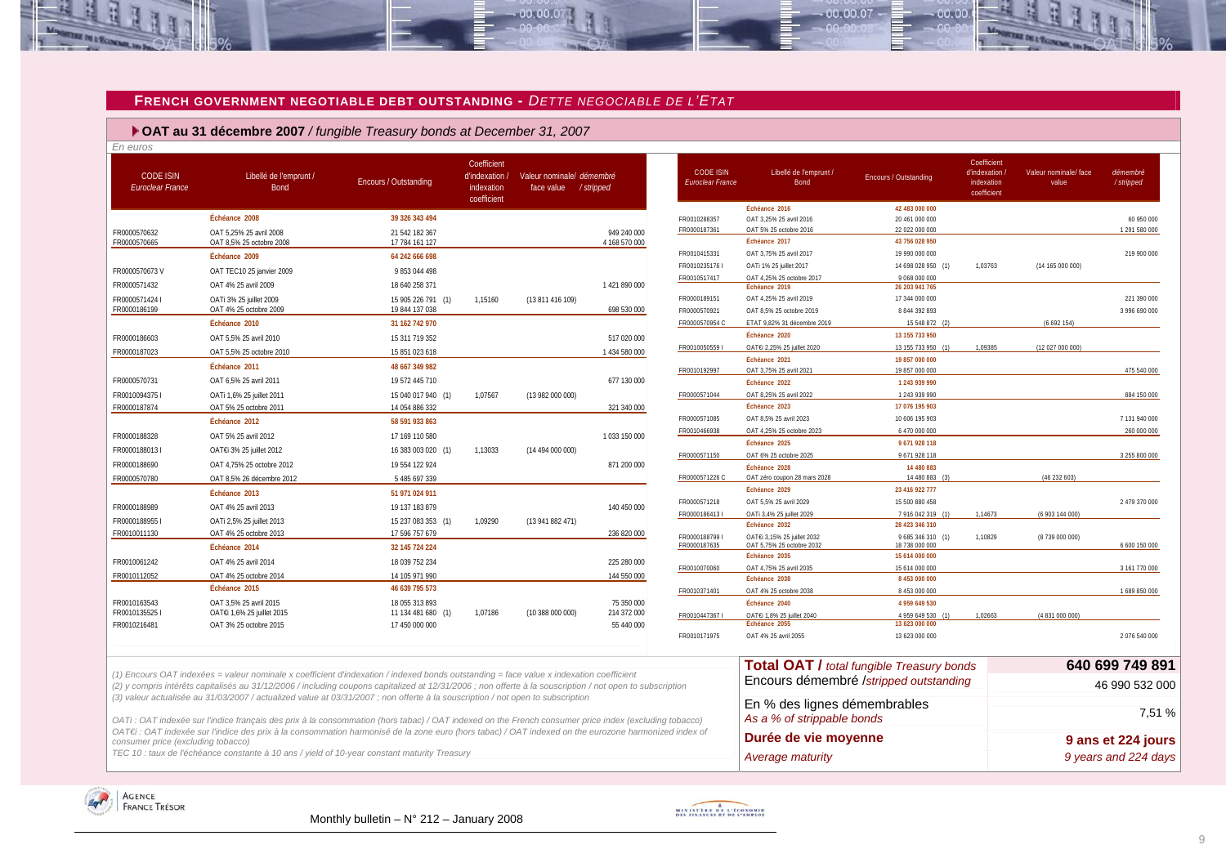#### **FRENCH GOVERNMENT NEGOTIABLE DEBT OUTSTANDING -** *DETTE NEGOCIABLE DE L'ETAT*

 $00000$ 

 **OAT au 31 décembre 2007** */ fungible Treasury bonds at December 31, 2007*

| En euros                                    |                                                                                                                                                                                                                                                                                                      |                       |                                                            |                                                    |               |                                      |                                                            |                                                  |                                                           |                               |                             |
|---------------------------------------------|------------------------------------------------------------------------------------------------------------------------------------------------------------------------------------------------------------------------------------------------------------------------------------------------------|-----------------------|------------------------------------------------------------|----------------------------------------------------|---------------|--------------------------------------|------------------------------------------------------------|--------------------------------------------------|-----------------------------------------------------------|-------------------------------|-----------------------------|
| <b>CODE ISIN</b><br><b>Euroclear France</b> | Libellé de l'emprunt /<br>Bond                                                                                                                                                                                                                                                                       | Encours / Outstanding | Coefficient<br>d'indexation /<br>indexation<br>coefficient | Valeur nominale/ démembré<br>face value / stripped |               | <b>CODE ISIN</b><br>Euroclear France | Libellé de l'emprunt /<br><b>Bond</b>                      | <b>Encours / Outstanding</b>                     | Coefficient<br>d'indexation.<br>indexation<br>coefficient | Valeur nominale/face<br>value | démembré<br>/stripped       |
|                                             | Échéance 2008                                                                                                                                                                                                                                                                                        | 39 326 343 494        |                                                            |                                                    |               |                                      | Échéance 2016                                              | 42 483 000 000                                   |                                                           |                               |                             |
| FR0000570632                                | OAT 5.25% 25 avril 2008                                                                                                                                                                                                                                                                              | 21 542 182 367        |                                                            |                                                    | 949 240 000   | FR0010288357<br>FR0000187361         | OAT 3,25% 25 avril 2016<br>OAT 5% 25 octobre 2016          | 20 461 000 000<br>22 022 000 000                 |                                                           |                               | 60 950 000<br>1 291 580 000 |
| FR0000570665                                | OAT 8,5% 25 octobre 2008                                                                                                                                                                                                                                                                             | 17 784 161 127        |                                                            |                                                    | 4 168 570 000 |                                      | Échéance 2017                                              | 43 756 028 950                                   |                                                           |                               |                             |
|                                             | Échéance 2009                                                                                                                                                                                                                                                                                        | 64 242 666 698        |                                                            |                                                    |               | FR0010415331                         | OAT 3,75% 25 avril 2017                                    | 19 990 000 000                                   |                                                           |                               | 219 900 000                 |
| FR0000570673V                               | OAT TEC10 25 janvier 2009                                                                                                                                                                                                                                                                            | 9 853 044 498         |                                                            |                                                    |               | FR0010235176                         | OATi 1% 25 juillet 2017                                    | 14 698 028 950 (1)                               | 1,03763                                                   | (14 165 000 000)              |                             |
| FR0000571432                                | OAT 4% 25 avril 2009                                                                                                                                                                                                                                                                                 | 18 640 258 371        |                                                            |                                                    | 1421890000    | FR0010517417                         | OAT 4,25% 25 octobre 2017<br>Échéance 2019                 | 9 068 000 000<br>26 203 941 765                  |                                                           |                               |                             |
| FR0000571424 I                              | OATi 3% 25 juillet 2009                                                                                                                                                                                                                                                                              | 15 905 226 791 (1)    | 1,15160                                                    | (13 811 416 109)                                   |               | FR0000189151                         | OAT 4,25% 25 avril 2019                                    | 17 344 000 000                                   |                                                           |                               | 221 390 000                 |
| FR0000186199                                | OAT 4% 25 octobre 2009                                                                                                                                                                                                                                                                               | 19 844 137 038        |                                                            |                                                    | 698 530 000   | FR0000570921                         | OAT 8,5% 25 octobre 2019                                   | 8 8 4 4 3 9 2 8 9 3                              |                                                           |                               | 3 996 690 000               |
|                                             | Échéance 2010                                                                                                                                                                                                                                                                                        | 31 162 742 970        |                                                            |                                                    |               | FR0000570954 C                       | ETAT 9,82% 31 décembre 2019                                | 15 548 872                                       |                                                           | (6692154)                     |                             |
| FR0000186603                                | OAT 5.5% 25 avril 2010                                                                                                                                                                                                                                                                               | 15 311 719 352        |                                                            |                                                    | 517 020 000   |                                      | Échéance 2020                                              | 13 155 733 950                                   |                                                           |                               |                             |
| FR0000187023                                | OAT 5,5% 25 octobre 2010                                                                                                                                                                                                                                                                             | 15 851 023 618        |                                                            |                                                    | 1 434 580 000 | FR0010050559 I                       | OAT€i 2,25% 25 juillet 2020                                | 13 155 733 950 (1)                               | 1,09385                                                   | (12 027 000 000)              |                             |
|                                             | Échéance 2011                                                                                                                                                                                                                                                                                        | 48 667 349 982        |                                                            |                                                    |               | FR0010192997                         | Échéance 2021<br>OAT 3.75% 25 avril 2021                   | 19 857 000 000<br>19 857 000 000                 |                                                           |                               | 475 540 000                 |
| FR0000570731                                | OAT 6,5% 25 avril 2011                                                                                                                                                                                                                                                                               | 19 572 445 710        |                                                            |                                                    | 677 130 000   |                                      | Échéance 2022                                              | 1 243 939 990                                    |                                                           |                               |                             |
| FR00100943751                               | OATi 1,6% 25 juillet 2011                                                                                                                                                                                                                                                                            | 15 040 017 940 (1)    | 1,07567                                                    | (13 982 000 000)                                   |               | FR0000571044                         | OAT 8.25% 25 avril 2022                                    | 1 243 939 990                                    |                                                           |                               | 884 150 000                 |
| FR0000187874                                | OAT 5% 25 octobre 2011                                                                                                                                                                                                                                                                               | 14 054 886 332        |                                                            |                                                    | 321 340 000   |                                      | Échéance 2023                                              | 17 076 195 903                                   |                                                           |                               |                             |
|                                             | Échéance 2012                                                                                                                                                                                                                                                                                        | 58 591 933 863        |                                                            |                                                    |               | FR0000571085                         | OAT 8,5% 25 avril 2023                                     | 10 606 195 903                                   |                                                           |                               | 7 131 940 000               |
| FR0000188328                                | OAT 5% 25 avril 2012                                                                                                                                                                                                                                                                                 | 17 169 110 580        |                                                            |                                                    | 1033150000    | FR0010466938                         | OAT 4,25% 25 octobre 2023                                  | 6 470 000 000                                    |                                                           |                               | 260 000 000                 |
| FR0000188013                                | OATE 3% 25 juillet 2012                                                                                                                                                                                                                                                                              | 16 383 003 020 (1)    | 1,13033                                                    | (14 494 000 000)                                   |               |                                      | Échéance 2025                                              | 9 671 928 118                                    |                                                           |                               |                             |
| FR0000188690                                | OAT 4,75% 25 octobre 2012                                                                                                                                                                                                                                                                            | 19 554 122 924        |                                                            |                                                    | 871 200 000   | FR0000571150                         | OAT 6% 25 octobre 2025<br>Échéance 2028                    | 9 671 928 118<br>14 480 883                      |                                                           |                               | 3 255 800 000               |
| FR0000570780                                | OAT 8,5% 26 décembre 2012                                                                                                                                                                                                                                                                            | 5 485 697 339         |                                                            |                                                    |               | FR0000571226 C                       | OAT zéro coupon 28 mars 2028                               | 14 480 883                                       |                                                           | (46232603)                    |                             |
|                                             | Échéance 2013                                                                                                                                                                                                                                                                                        | 51 971 024 911        |                                                            |                                                    |               |                                      | Échéance 2029                                              | 23 416 922 777                                   |                                                           |                               |                             |
| FR0000188989                                | OAT 4% 25 avril 2013                                                                                                                                                                                                                                                                                 | 19 137 183 879        |                                                            |                                                    | 140 450 000   | FR0000571218                         | OAT 5,5% 25 avril 2029                                     | 15 500 880 458                                   |                                                           |                               | 2 479 370 000               |
| FR0000188955                                | OATi 2,5% 25 juillet 2013                                                                                                                                                                                                                                                                            | 15 237 083 353 (1)    | 1,09290                                                    | (13 941 882 471)                                   |               | FR00001864131                        | OATi 3,4% 25 juillet 2029                                  | 7 916 042 319 (1)                                | 1,14673                                                   | (6 903 144 000)               |                             |
| FR0010011130                                | OAT 4% 25 octobre 2013                                                                                                                                                                                                                                                                               | 17 596 757 679        |                                                            |                                                    | 236 820 000   | FR00001887991                        | Échéance 2032<br>OAT€i 3,15% 25 juillet 2032               | 28 423 346 310<br>9 685 346 310 (1)              | 1.10829                                                   | (8739 000 000)                |                             |
|                                             | Échéance 2014                                                                                                                                                                                                                                                                                        | 32 145 724 224        |                                                            |                                                    |               | FR0000187635                         | OAT 5,75% 25 octobre 2032                                  | 18 738 000 000                                   |                                                           |                               | 6 600 150 000               |
| FR0010061242                                | OAT 4% 25 avril 2014                                                                                                                                                                                                                                                                                 | 18 039 752 234        |                                                            |                                                    | 225 280 000   |                                      | Échéance 2035                                              | 15 614 000 000                                   |                                                           |                               |                             |
| FR0010112052                                | OAT 4% 25 octobre 2014                                                                                                                                                                                                                                                                               | 14 105 971 990        |                                                            |                                                    | 144 550 000   | FR0010070060                         | OAT 4,75% 25 avril 2035<br>Échéance 2038                   | 15 614 000 000                                   |                                                           |                               | 3 161 770 000               |
|                                             | Échéance 2015                                                                                                                                                                                                                                                                                        | 46 639 795 573        |                                                            |                                                    |               | FR0010371401                         | OAT 4% 25 octobre 2038                                     | 8 453 000 000<br>8 453 000 000                   |                                                           |                               | 1 689 850 000               |
| FR0010163543                                | OAT 3,5% 25 avril 2015                                                                                                                                                                                                                                                                               | 18 055 313 893        |                                                            |                                                    | 75 350 000    |                                      | Échéance 2040                                              | 4 959 649 530                                    |                                                           |                               |                             |
| FR0010135525                                | OAT€i 1,6% 25 juillet 2015                                                                                                                                                                                                                                                                           | 11 134 481 680 (1)    | 1,07186                                                    | (10 388 000 000)                                   | 214 372 000   | FR00104473671                        | OAT€i 1.8% 25 iuillet 2040                                 | 4 959 649 530                                    | 1.02663                                                   | (4 831 000 000)               |                             |
| FR0010216481                                | OAT 3% 25 octobre 2015                                                                                                                                                                                                                                                                               | 17 450 000 000        |                                                            |                                                    | 55 440 000    |                                      | Échéance 2055                                              | 13 623 000 000                                   |                                                           |                               |                             |
|                                             |                                                                                                                                                                                                                                                                                                      |                       |                                                            |                                                    |               | FR0010171975                         | OAT 4% 25 avril 2055                                       | 13 623 000 000                                   |                                                           |                               | 2 076 540 000               |
|                                             |                                                                                                                                                                                                                                                                                                      |                       |                                                            |                                                    |               |                                      |                                                            | <b>Total OAT / total fungible Treasury bonds</b> |                                                           |                               | 640 699 749 891             |
|                                             | (1) Encours OAT indexées = valeur nominale x coefficient d'indexation / indexed bonds outstanding = face value x indexation coefficient<br>(2) y compris intérêts capitalisés au 31/12/2006 / including coupons capitalized at 12/31/2006 ; non offerte à la souscription / not open to subscription |                       |                                                            |                                                    |               |                                      |                                                            | Encours démembré /stripped outstanding           |                                                           |                               | 46 990 532 000              |
|                                             | (3) valeur actualisée au 31/03/2007 / actualized value at 03/31/2007; non offerte à la souscription / not open to subscription<br>OATi: OAT indexée sur l'indice français des prix à la consommation (hors tabac) / OAT indexed on the French consumer price index (excluding tobacco)               |                       |                                                            |                                                    |               |                                      | En % des lignes démembrables<br>As a % of strippable bonds |                                                  |                                                           |                               | 7,51 %                      |
| consumer price (excluding tobacco)          | OAT€i : OAT indexée sur l'indice des prix à la consommation harmonisé de la zone euro (hors tabac) / OAT indexed on the eurozone harmonized index of                                                                                                                                                 |                       |                                                            |                                                    |               |                                      | Durée de vie moyenne                                       |                                                  |                                                           |                               | 9 ans et 224 jours          |
|                                             | TEC 10 : taux de l'échéance constante à 10 ans / yield of 10-year constant maturity Treasury                                                                                                                                                                                                         |                       |                                                            |                                                    |               |                                      | Average maturity                                           |                                                  |                                                           |                               | 9 years and 224 days        |

<span id="page-8-0"></span>![](_page_8_Picture_3.jpeg)

![](_page_8_Picture_5.jpeg)

 $00007$